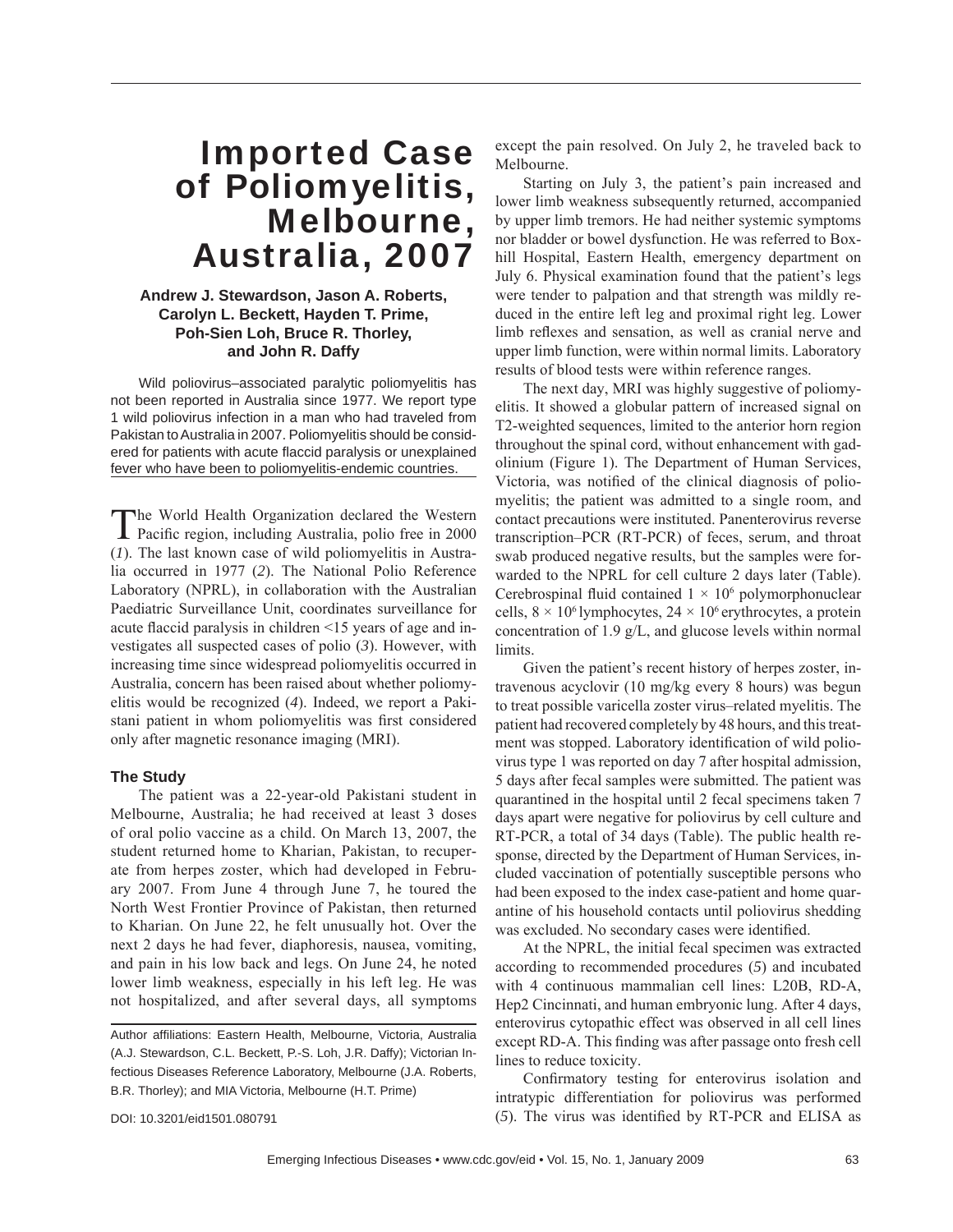# Imported Case of Poliomyelitis, Melbourne, Australia, 2007

## **Andrew J. Stewardson, Jason A. Roberts, Carolyn L. Beckett, Hayden T. Prime, Poh-Sien Loh, Bruce R. Thorley, and John R. Daffy**

Wild poliovirus–associated paralytic poliomyelitis has not been reported in Australia since 1977. We report type 1 wild poliovirus infection in a man who had traveled from Pakistan to Australia in 2007. Poliomyelitis should be considered for patients with acute flaccid paralysis or unexplained fever who have been to poliomyelitis-endemic countries.

The World Health Organization declared the Western Pacific region, including Australia, polio free in 2000 (*1*). The last known case of wild poliomyelitis in Australia occurred in 1977 (*2*). The National Polio Reference Laboratory (NPRL), in collaboration with the Australian Paediatric Surveillance Unit, coordinates surveillance for acute flaccid paralysis in children  $\leq 15$  years of age and investigates all suspected cases of polio (*3*). However, with increasing time since widespread poliomyelitis occurred in Australia, concern has been raised about whether poliomyelitis would be recognized (*4*). Indeed, we report a Pakistani patient in whom poliomyelitis was first considered only after magnetic resonance imaging (MRI).

## **The Study**

The patient was a 22-year-old Pakistani student in Melbourne, Australia; he had received at least 3 doses of oral polio vaccine as a child. On March 13, 2007, the student returned home to Kharian, Pakistan, to recuperate from herpes zoster, which had developed in February 2007. From June 4 through June 7, he toured the North West Frontier Province of Pakistan, then returned to Kharian. On June 22, he felt unusually hot. Over the next 2 days he had fever, diaphoresis, nausea, vomiting, and pain in his low back and legs. On June 24, he noted lower limb weakness, especially in his left leg. He was not hospitalized, and after several days, all symptoms

DOI: 10.3201/eid1501.080791

except the pain resolved. On July 2, he traveled back to Melbourne.

Starting on July 3, the patient's pain increased and lower limb weakness subsequently returned, accompanied by upper limb tremors. He had neither systemic symptoms nor bladder or bowel dysfunction. He was referred to Boxhill Hospital, Eastern Health, emergency department on July 6. Physical examination found that the patient's legs were tender to palpation and that strength was mildly reduced in the entire left leg and proximal right leg. Lower limb reflexes and sensation, as well as cranial nerve and upper limb function, were within normal limits. Laboratory results of blood tests were within reference ranges.

The next day, MRI was highly suggestive of poliomyelitis. It showed a globular pattern of increased signal on T2-weighted sequences, limited to the anterior horn region throughout the spinal cord, without enhancement with gadolinium (Figure 1). The Department of Human Services, Victoria, was notified of the clinical diagnosis of poliomyelitis; the patient was admitted to a single room, and contact precautions were instituted. Panenterovirus reverse transcription–PCR (RT-PCR) of feces, serum, and throat swab produced negative results, but the samples were forwarded to the NPRL for cell culture 2 days later (Table). Cerebrospinal fluid contained  $1 \times 10^6$  polymorphonuclear cells,  $8 \times 10^6$  lymphocytes,  $24 \times 10^6$  erythrocytes, a protein concentration of 1.9 g/L, and glucose levels within normal limits.

Given the patient's recent history of herpes zoster, intravenous acyclovir (10 mg/kg every 8 hours) was begun to treat possible varicella zoster virus–related myelitis. The patient had recovered completely by 48 hours, and this treatment was stopped. Laboratory identification of wild poliovirus type 1 was reported on day 7 after hospital admission, 5 days after fecal samples were submitted. The patient was quarantined in the hospital until 2 fecal specimens taken 7 days apart were negative for poliovirus by cell culture and RT-PCR, a total of 34 days (Table). The public health response, directed by the Department of Human Services, included vaccination of potentially susceptible persons who had been exposed to the index case-patient and home quarantine of his household contacts until poliovirus shedding was excluded. No secondary cases were identified.

At the NPRL, the initial fecal specimen was extracted according to recommended procedures (*5*) and incubated with 4 continuous mammalian cell lines: L20B, RD-A, Hep2 Cincinnati, and human embryonic lung. After 4 days, enterovirus cytopathic effect was observed in all cell lines except RD-A. This finding was after passage onto fresh cell lines to reduce toxicity.

Confirmatory testing for enterovirus isolation and intratypic differentiation for poliovirus was performed  $(5)$ . The virus was identified by RT-PCR and ELISA as

Author affiliations: Eastern Health, Melbourne, Victoria, Australia (A.J. Stewardson, C.L. Beckett, P.-S. Loh, J.R. Daffy); Victorian Infectious Diseases Reference Laboratory, Melbourne (J.A. Roberts, B.R. Thorley); and MIA Victoria, Melbourne (H.T. Prime)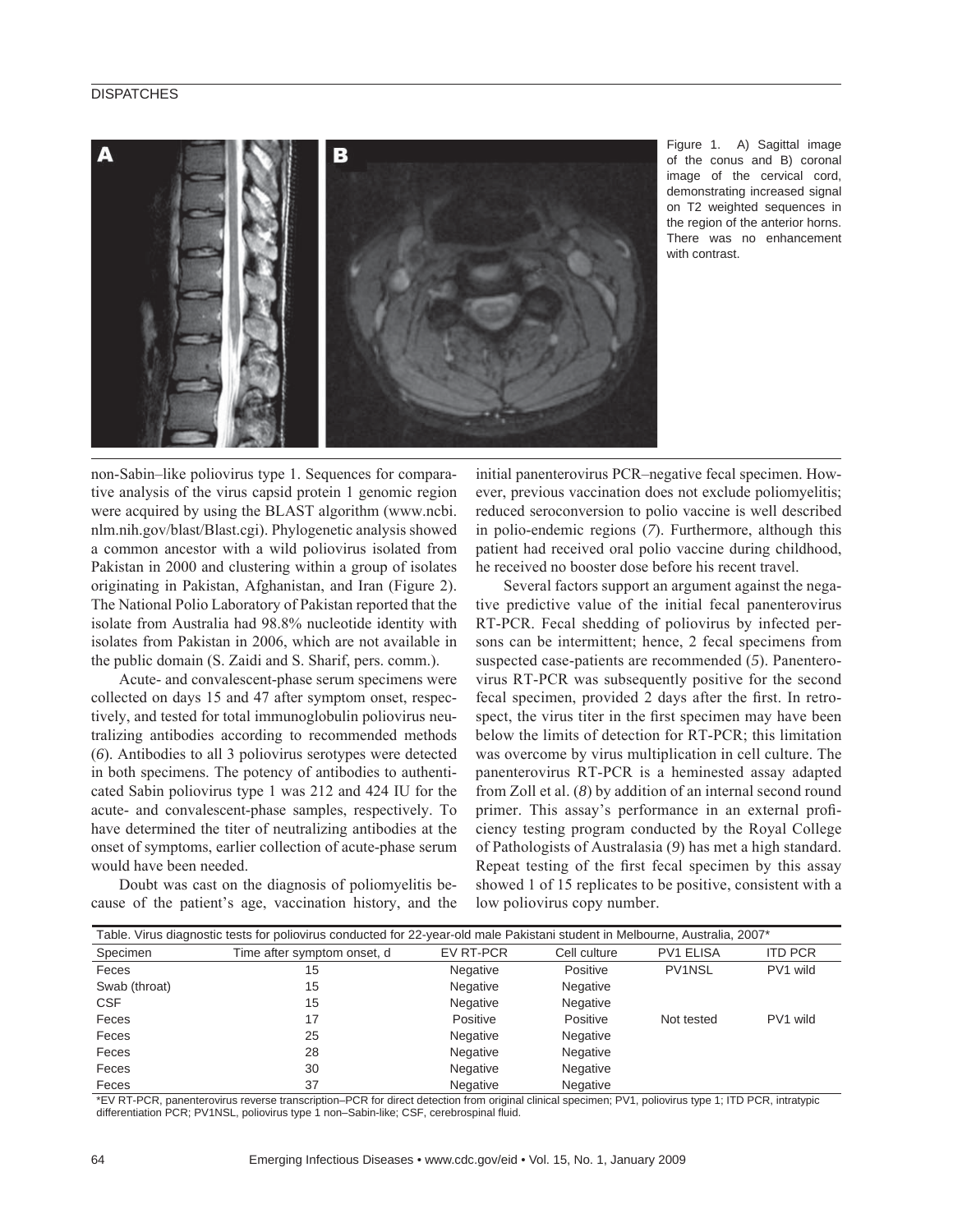## **DISPATCHES**



Figure 1. A) Sagittal image of the conus and B) coronal image of the cervical cord, demonstrating increased signal on T2 weighted sequences in the region of the anterior horns. There was no enhancement with contrast.

non-Sabin–like poliovirus type 1. Sequences for comparative analysis of the virus capsid protein 1 genomic region were acquired by using the BLAST algorithm (www.ncbi. nlm.nih.gov/blast/Blast.cgi). Phylogenetic analysis showed a common ancestor with a wild poliovirus isolated from Pakistan in 2000 and clustering within a group of isolates originating in Pakistan, Afghanistan, and Iran (Figure 2). The National Polio Laboratory of Pakistan reported that the isolate from Australia had 98.8% nucleotide identity with isolates from Pakistan in 2006, which are not available in the public domain (S. Zaidi and S. Sharif, pers. comm.).

Acute- and convalescent-phase serum specimens were collected on days 15 and 47 after symptom onset, respectively, and tested for total immunoglobulin poliovirus neutralizing antibodies according to recommended methods (*6*). Antibodies to all 3 poliovirus serotypes were detected in both specimens. The potency of antibodies to authenticated Sabin poliovirus type 1 was 212 and 424 IU for the acute- and convalescent-phase samples, respectively. To have determined the titer of neutralizing antibodies at the onset of symptoms, earlier collection of acute-phase serum would have been needed.

Doubt was cast on the diagnosis of poliomyelitis because of the patient's age, vaccination history, and the

initial panenterovirus PCR–negative fecal specimen. However, previous vaccination does not exclude poliomyelitis; reduced seroconversion to polio vaccine is well described in polio-endemic regions (*7*). Furthermore, although this patient had received oral polio vaccine during childhood, he received no booster dose before his recent travel.

Several factors support an argument against the negative predictive value of the initial fecal panenterovirus RT-PCR. Fecal shedding of poliovirus by infected persons can be intermittent; hence, 2 fecal specimens from suspected case-patients are recommended (*5*). Panenterovirus RT-PCR was subsequently positive for the second fecal specimen, provided 2 days after the first. In retrospect, the virus titer in the first specimen may have been below the limits of detection for RT-PCR; this limitation was overcome by virus multiplication in cell culture. The panenterovirus RT-PCR is a heminested assay adapted from Zoll et al. (*8*) by addition of an internal second round primer. This assay's performance in an external proficiency testing program conducted by the Royal College of Pathologists of Australasia (*9*) has met a high standard. Repeat testing of the first fecal specimen by this assay showed 1 of 15 replicates to be positive, consistent with a low poliovirus copy number.

| Table. Virus diagnostic tests for poliovirus conducted for 22-year-old male Pakistani student in Melbourne, Australia, 2007* |                             |                 |                 |                  |                |
|------------------------------------------------------------------------------------------------------------------------------|-----------------------------|-----------------|-----------------|------------------|----------------|
| Specimen                                                                                                                     | Time after symptom onset, d | EV RT-PCR       | Cell culture    | <b>PV1 ELISA</b> | <b>ITD PCR</b> |
| Feces                                                                                                                        | 15                          | <b>Negative</b> | Positive        | PV1NSL           | PV1 wild       |
| Swab (throat)                                                                                                                | 15                          | Negative        | Negative        |                  |                |
| <b>CSF</b>                                                                                                                   | 15                          | Negative        | Negative        |                  |                |
| Feces                                                                                                                        | 17                          | Positive        | Positive        | Not tested       | PV1 wild       |
| Feces                                                                                                                        | 25                          | Negative        | <b>Negative</b> |                  |                |
| Feces                                                                                                                        | 28                          | Negative        | Negative        |                  |                |
| Feces                                                                                                                        | 30                          | Negative        | Negative        |                  |                |
| Feces                                                                                                                        | 37                          | Negative        | Negative        |                  |                |

\*EV RT-PCR, panenterovirus reverse transcription–PCR for direct detection from original clinical specimen; PV1, poliovirus type 1; ITD PCR, intratypic differentiation PCR; PV1NSL, poliovirus type 1 non–Sabin-like; CSF, cerebrospinal fluid.